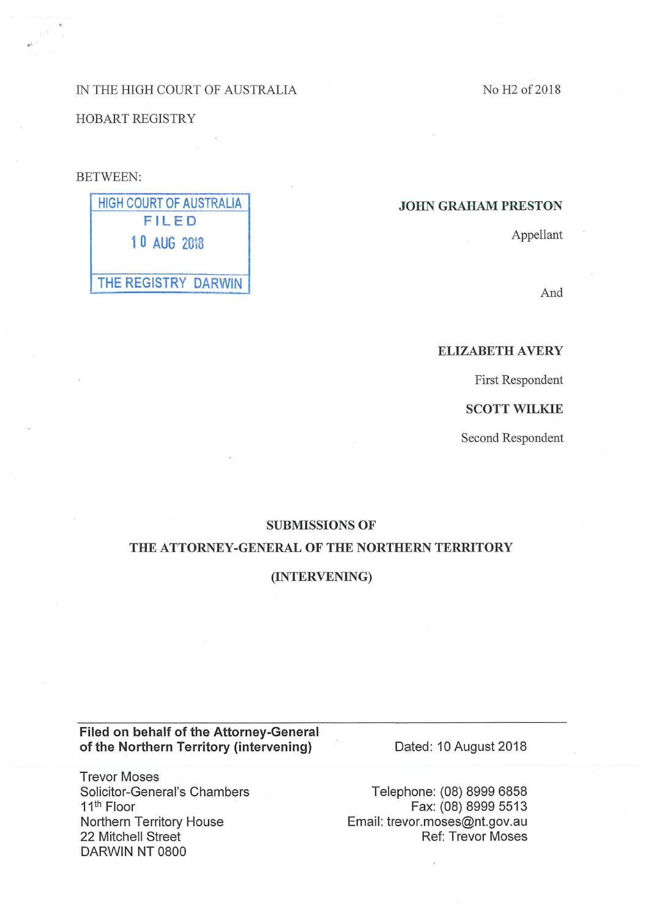# IN THE HIGH COURT OF AUSTRALIA

HOBART REGISTRY

# BETWEEN:

# HIGH COURT OF AUSTRALIA FILED 1 0 AUG 20i8 THE REGISTRY DARWIN

No H<sub>2</sub> of 2018

## JOHN GRAHAM PRESTON

Appellant

And

# ELIZABETH AVERY

First Respondent

SCOTT WILKIE

Second Respondent

#### SUBMISSIONS OF

#### THE ATTORNEY -GENERAL OF THE NORTHERN TERRITORY

#### (INTERVENING)

# Filed on behalf of the Attorney-General of the Northern Territory (intervening)

Trevor Moses Solicitor -General's Chambers 11th Floor Northern Territory House 22 Mitchell Street DARWIN NT 0800

Dated: 10 August 2018

Telephone: (08) 8999 6858 Fax: (08) 8999 5513 Email: trevor.moses@nt.gov.au Ref: Trevor Moses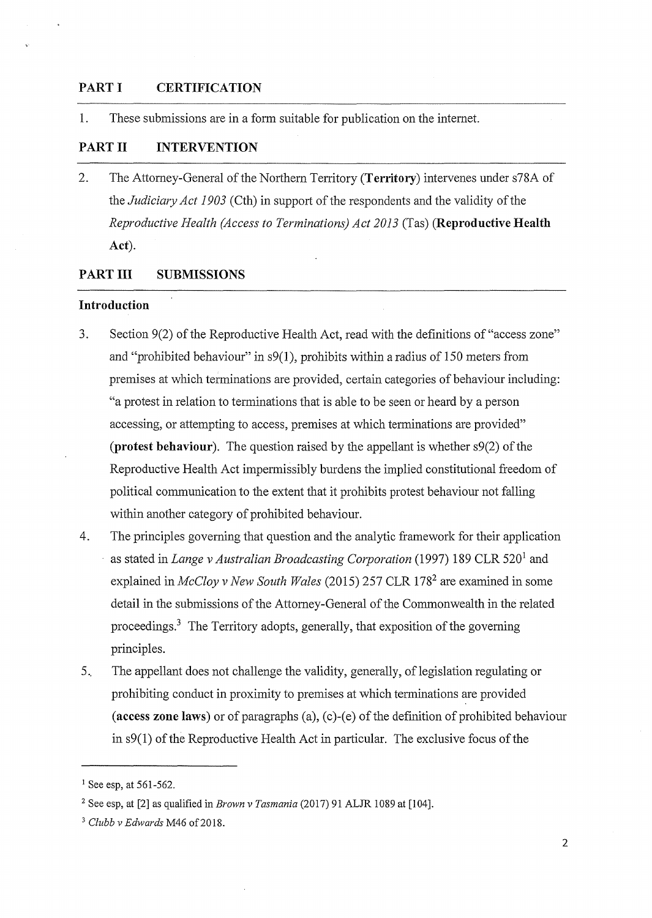## **PART I CERTIFICATION**

1. These submissions are in a form suitable for publication on the internet.

# **PART II INTERVENTION**

2. The Attorney-General of the Northern Territory **(Territory)** intervenes under s78A of the *Judiciary Act 1903* ( Cth) in support of the respondents and the validity of the *Reproductive Health (Access to Terminations) Act 2013* (Tas) **(Reproductive Health Act).** 

## **PARTIII SUBMISSIONS**

#### **Introduction**

- 3. Section 9(2) of the Reproductive Health Act, read with the definitions of"access zone" and "prohibited behaviour" in  $s(1)$ , prohibits within a radius of 150 meters from premises at which terminations are provided, certain categories of behaviour including: "a protest in relation to terminations that is able to be seen or heard by a person accessing, or attempting to access, premises at which terminations are provided" **(protest behaviour).** The question raised by the appellant is whether s9(2) of the Reproductive Health Act impermissibly burdens the implied constitutional freedom of political communication to the extent that it prohibits protest behaviour not falling within another category of prohibited behaviour.
- 4. The principles governing that question and the analytic framework for their application as stated in *Lange v Australian Broadcasting Corporation* (1997) 189 CLR 520<sup>1</sup> and explained in *McCloy v New South Wales* (2015) 257 CLR 178<sup>2</sup> are examined in some detail in the submissions of the Attorney-General of the Commonwealth in the related proceedings.3 The Territory adopts, generally, that exposition of the governing principles.
- 5. The appellant does not challenge the validity, generally, of legislation regulating or prohibiting conduct in proximity to premises at which terminations are provided **(access zone laws)** or of paragraphs (a), (c)-(e) of the definition of prohibited behaviour in s9(1) of the Reproductive Health Act in particular. The exclusive focus of the

<sup>&</sup>lt;sup>1</sup> See esp, at 561-562.

<sup>2</sup> See esp, at [2] as qualified in *Brown v Tasmania* (2017) 91 ALJR 1089 at [104].

<sup>&</sup>lt;sup>3</sup> Clubb v Edwards M46 of 2018.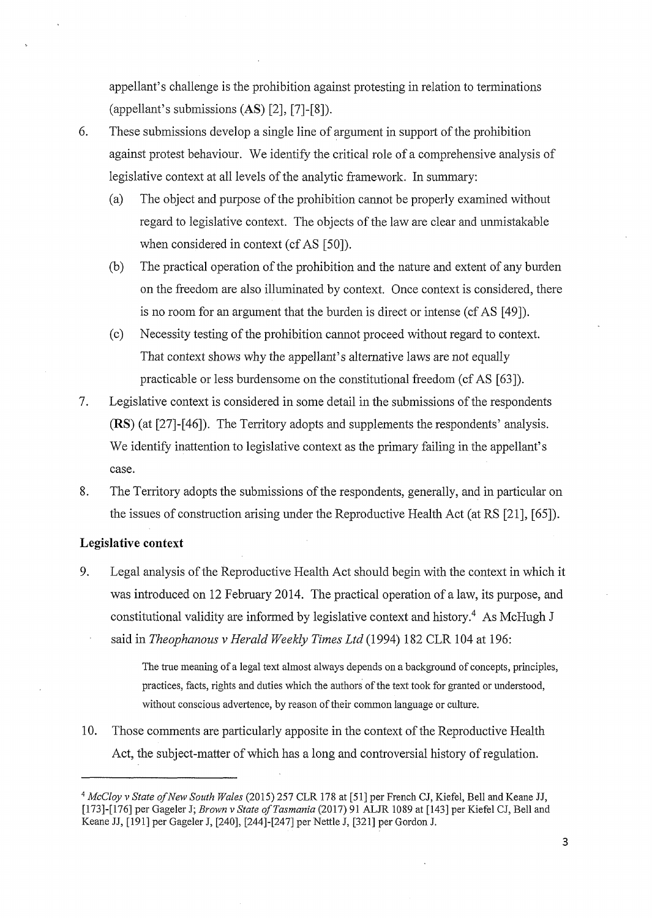appellant's challenge is the prohibition against protesting in relation to terminations (appellant's submissions (AS) [2], [7]-[8]).

6. These submissions develop a single line of argument in support of the prohibition against protest behaviour. We identify the critical role of a comprehensive analysis of legislative context at all levels of the analytic framework. In summary:

- (a) The object and purpose of the prohibition cannot be properly examined without regard to legislative context. The objects of the law are clear and unmistakable when considered in context (cf AS [50]).
- (b) The practical operation of the prohibition and the nature and extent of any burden on the freedom are also illuminated by context. Once context is considered, there is no room for an argument that the burden is direct or intense (cf AS [49]).
- (c) Necessity testing of the prohibition cannot proceed without regard to context. That context shows why the appellant's alternative laws are not equally practicable or less burdensome on the constitutional freedom (cf AS [63]).
- 7. Legislative context is considered in some detail in the submissions of the respondents (RS) (at [27]-[46]). The Territory adopts and supplements the respondents' analysis. We identify inattention to legislative context as the primary failing in the appellant's case.
- 8. The Territory adopts the submissions of the respondents, generally, and in particular on the issues of construction arising under the Reproductive Health Act (at RS [21], [65]).

## **Legislative context**

9. Legal analysis of the Reproductive Health Act should begin with the context in which it was introduced on 12 February 2014. The practical operation of a law, its purpose, and constitutional validity are informed by legislative context and history.<sup>4</sup> As McHugh J said in *Theophanous v Herald Weekly Times Ltd* (1994) 182 CLR 104 at 196:

> The true meaning of a legal text almost always depends on a background of concepts, principles, practices, facts, rights and duties which the authors of the text took for granted or understood, without conscious advertence, by reason of their common language or culture.

10. Those comments are particularly apposite in the context of the Reproductive Health Act, the subject-matter of which has a long and controversial history of regulation.

3

<sup>4</sup>*McCloy v State of New South Wales* (2015) 257 CLR 178 at [51] per French CJ, Kiefel, Bell and Keane JJ, [173]-[176] per Gageler J; *Brown v State ofTasmania* (2017) 91 ALJR 1089 at [143] per Kiefel CJ, Bell and Keane JJ, [191] per Gageler J, [240], [244]-[247] per Nettle J, [321] per Gordon J.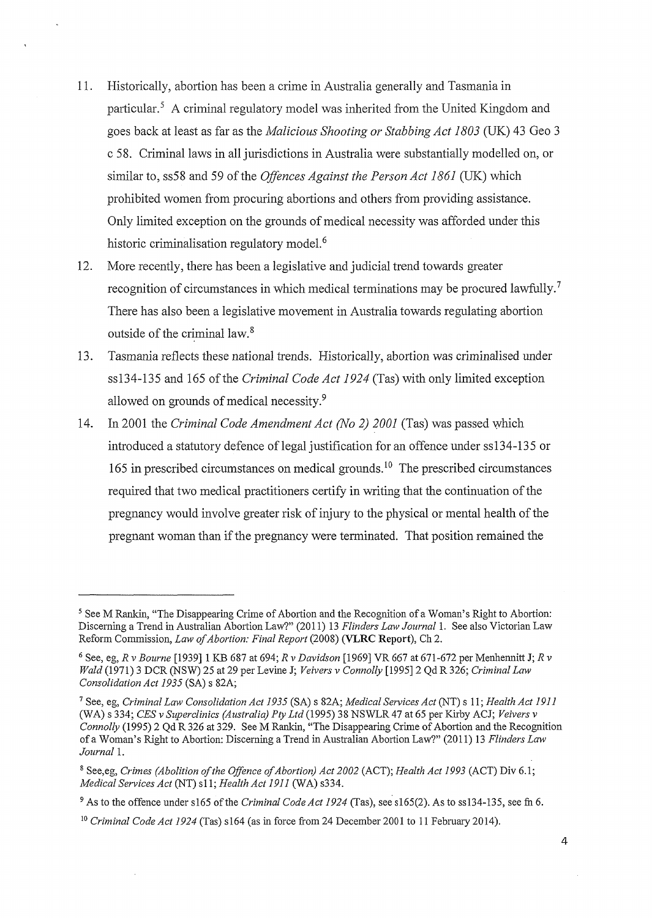- 11. Historically, abortion has been a crime in Australia generally and Tasmania in particular. 5 A criminal regulatory model was inherited from the United Kingdom and goes back at least as far as the *Malicious Shooting or Stabbing Act 1803* (UK) 43 Geo 3 c 58. Criminal laws in all jurisdictions in Australia were substantially modelled on, or similar to, ss58 and 59 of the *Offences Against the Person Act 1861* (UK) which prohibited women from procuring abortions and others from providing assistance. Only limited exception on the grounds of medical necessity was afforded under this historic criminalisation regulatory model.<sup>6</sup>
- 12. More recently, there has been a legislative and judicial trend towards greater recognition of circumstances in which medical terminations may be procured lawfully.<sup>7</sup> There has also been a legislative movement in Australia towards regulating abortion outside of the criminal law.<sup>8</sup>
- 13. Tasmania reflects these national trends. Historically, abortion was criminalised under ss134-135 and 165 of the *Criminal Code Act 1924* (Tas) with only limited exception allowed on grounds of medical necessity.9
- 14. In 2001 the *Criminal Code Amendment Act (No 2) 2001* (Tas) was passed which introduced a statutory defence of legal justification for an offence under ss134-135 or 165 **in** prescribed circumstances on medical grounds. 10 The prescribed circumstances required that two medical practitioners certify in writing that the continuation of the pregnancy would involve greater risk of injury to the physical or mental health of the pregnant woman than if the pregnancy were terminated. That position remained the

<sup>5</sup> See M Rankin, "The Disappearing Crime of Abortion and the Recognition of a Woman's Right to Abortion: Discerning a Trend in Australian Abortion Law?" (2011) 13 *Flinders Law Journal* 1. See also Victorian Law Reform Commission, *Law of Abortion: Final Report* (2008) **(VLRC Report),** Ch 2.

<sup>6</sup> See, eg, *R v Bourne* [1939] 1 KB 687 at 694; *R v Davidson* [1969] VR 667 at 671-672 per Menhennitt J; *R v Wald* (1971) 3 DCR (NSW) 25 at 29 per Levine J; *Veivers v Connolly* [1995] 2 Qd R 326; *Criminal Law Consolidation Act 1935* (SA) s 82A;

<sup>7</sup> See, eg, *Criminal Law Consolidation Act 1935* (SA) s 82A; *Medical Services Act* (NT) s 11; *Health Act 1911*  (WA) s 334; *CES v Superclinics (Australia) Pty Ltd* (1995) 38 NSWLR 47 at 65 per Kirby ACJ; *Veivers v Connolly* (1995) 2 Qd R 326 at 329. See M Rankin, "The Disappearing Crime of Abortion and the Recognition of a Woman's Right to Abortion: Discerning a Trend in Australian Abortion Law?" (2011) 13 *Flinders Law*  Journal 1.

<sup>8</sup> See,eg, *Crimes (Abolition of the Offence of Abortion) Act 2002* (ACT); *Health Act 1993* (ACT) Div 6.1; *Medical Services Act (NT) s11; Health Act 1911 (WA) s334.* 

<sup>&</sup>lt;sup>9</sup> As to the offence under s165 of the *Criminal Code Act 1924* (Tas), see s165(2). As to ss134-135, see fn 6.

<sup>1</sup> ° *Criminal Code Act 1924* (Tas) s164 (as in force from 24 December 2001 to 11 February 2014).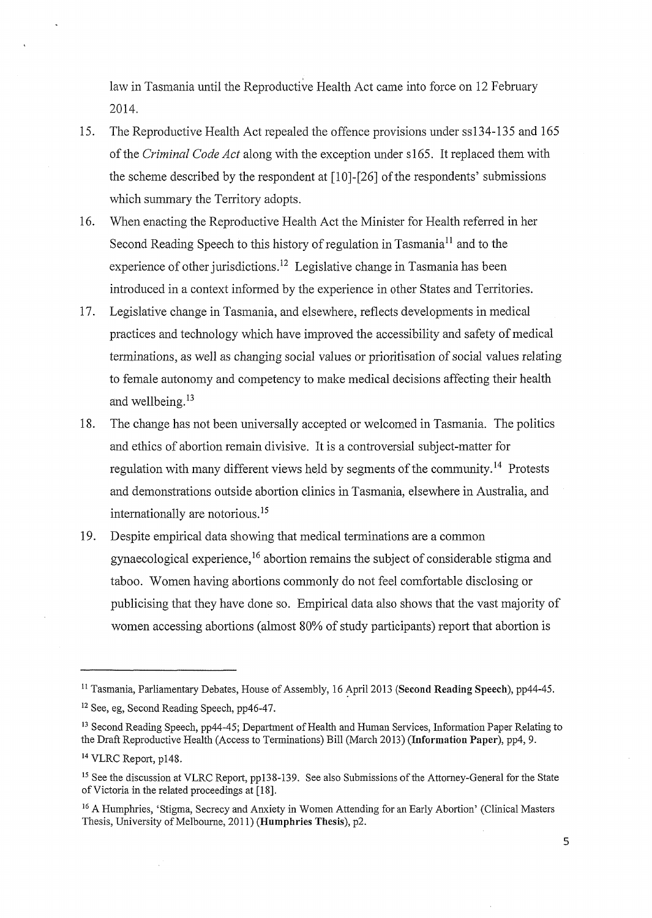law in Tasmania until the Reproductive Health Act came into force on 12 February 2014.

- 15. The Reproductive Health Act repealed the offence provisions under ss134-135 and 165 of the *Criminal Code Act* along with the exception under s165. It replaced them with the scheme described by the respondent at  $[10]-[26]$  of the respondents' submissions which summary the Territory adopts.
- 16. When enacting the Reproductive Health Act the Minister for Health refened in her Second Reading Speech to this history of regulation in Tasmania<sup>11</sup> and to the experience of other jurisdictions.<sup>12</sup> Legislative change in Tasmania has been introduced in a context informed by the experience in other States and Territories.
- 17. Legislative change in Tasmania, and elsewhere, reflects developments in medical practices and technology which have improved the accessibility and safety of medical terminations, as well as changing social values or prioritisation of social values relating to female autonomy and competency to make medical decisions affecting their health and wellbeing. <sup>13</sup>
- 18. The change has not been universally accepted or welcomed in Tasmania. The politics and ethics of abortion remain divisive. It is a controversial subject-matter for regulation with many different views held by segments of the community. 14 Protests and demonstrations outside abortion clinics in Tasmania, elsewhere in Australia, and internationally are notorious. <sup>15</sup>
- 19. Despite empirical data showing that medical terminations are a common gynaecological experience, 16 abortion remains the subject of considerable stigma and taboo. Women having abortions commonly do not feel comfortable disclosing or publicising that they have done so. Empirical data also shows that the vast majority of women accessing abortions (almost 80% of study participants) report that abortion is

<sup>&</sup>lt;sup>11</sup> Tasmania, Parliamentary Debates, House of Assembly, 16 April 2013 (Second Reading Speech), pp44-45.

<sup>12</sup> See, eg, Second Reading Speech, pp46-47.

<sup>&</sup>lt;sup>13</sup> Second Reading Speech, pp44-45; Department of Health and Human Services, Information Paper Relating to the Draft Reproductive Health (Access to Terminations) Bill (March 2013) **(Information Paper),** pp4, 9.

<sup>14</sup> VLRC Report, p148.

<sup>&</sup>lt;sup>15</sup> See the discussion at VLRC Report, pp138-139. See also Submissions of the Attorney-General for the State of Victoria in the related proceedings at [18].

<sup>&</sup>lt;sup>16</sup> A Humphries, 'Stigma, Secrecy and Anxiety in Women Attending for an Early Abortion' (Clinical Masters Thesis, University of Melbourne, 2011) (Humphries Thesis), p2.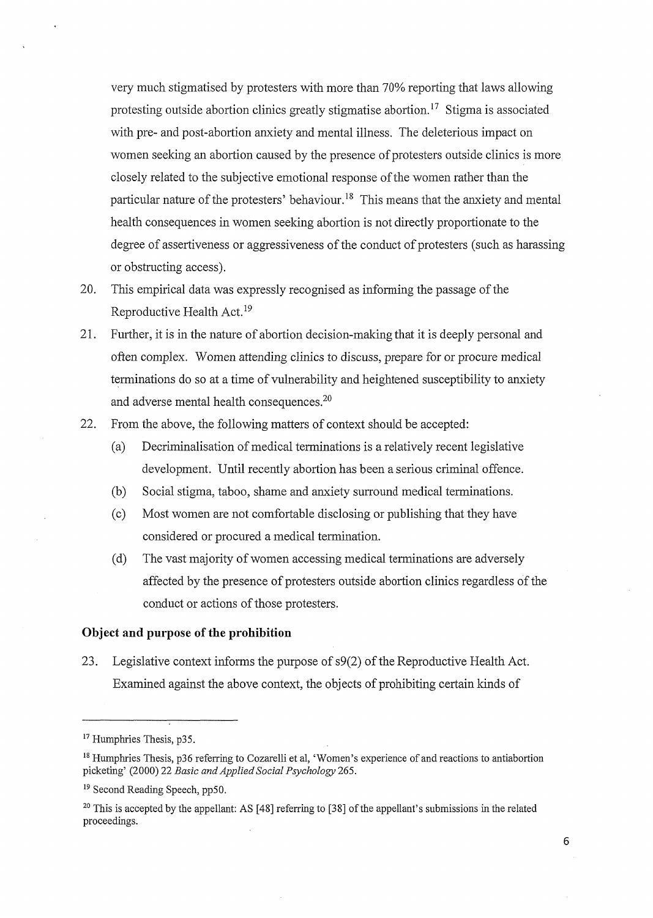very much stigmatised by protesters with more than 70% reporting that laws allowing protesting outside abortion clinics greatly stigmatise abortion.<sup>17</sup> Stigma is associated with pre- and post-abortion anxiety and mental illness. The deleterious impact on women seeking an abortion caused by the presence of protesters outside clinics is more closely related to the subjective emotional response of the women rather than the particular nature of the protesters' behaviour.<sup>18</sup> This means that the anxiety and mental health consequences in women seeking abortion is not directly proportionate to the degree of assertiveness or aggressiveness of the conduct of protesters (such as harassing or obstructing access).

- 20. This empirical data was expressly recognised as informing the passage of the Reproductive Health Act. <sup>19</sup>
- 21. Further, it is in the nature of abortion decision-making that it is deeply personal and often complex. Women attending clinics to discuss, prepare for or procure medical terminations do so at a time of vulnerability and heightened susceptibility to anxiety and adverse mental health consequences.<sup>20</sup>
- 22. From the above, the following matters of context should be accepted:
	- (a) Decriminalisation of medical terminations is a relatively recent legislative development. Until recently abortion has been a serious criminal offence.
	- (b) Social stigma, taboo, shame and anxiety surround medical terminations.
	- (c) Most women are not comfortable disclosing or publishing that they have considered or procured a medical termination.
	- (d) The vast majority of women accessing medical terminations are adversely affected by the presence of protesters outside abortion clinics regardless of the conduct or actions of those protesters.

#### **Object and purpose of the prohibition**

23. Legislative context informs the purpose of s9(2) of the Reproductive Health Act. Examined against the above context, the objects of prohibiting certain kinds of

<sup>&</sup>lt;sup>17</sup> Humphries Thesis, p35.

<sup>18</sup> Humphries Thesis, p36 referring to Cozarelli et al, 'Women's experience of and reactions to antiabortion picketing' (2000) 22 *Basic and Applied Social Psychology* 265.

<sup>19</sup> Second Reading Speech, pp50.

<sup>&</sup>lt;sup>20</sup> This is accepted by the appellant: AS [48] referring to [38] of the appellant's submissions in the related proceedings.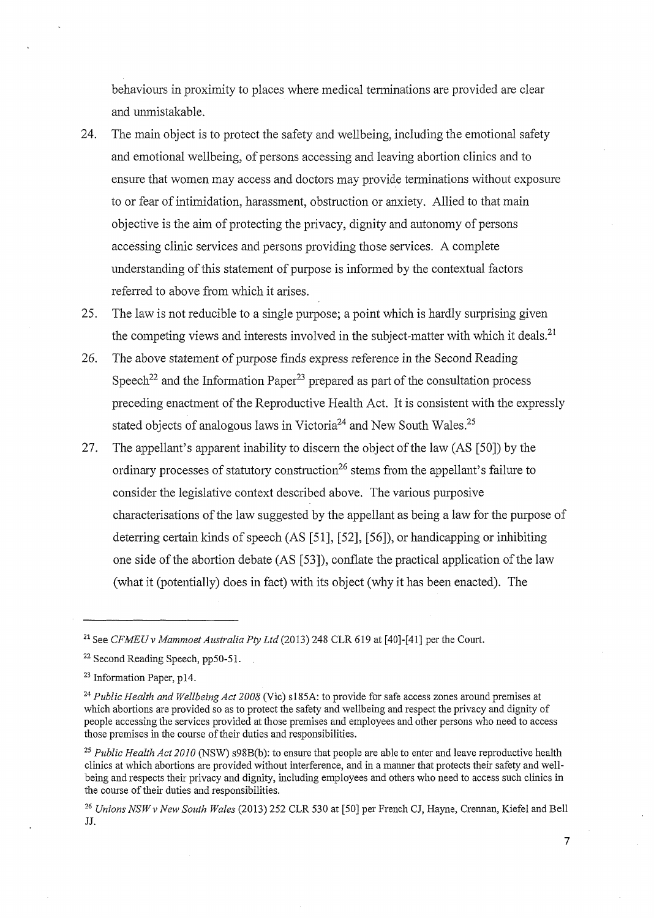behaviours in proximity to places where medical terminations are provided are clear and unmistakable.

- 24. The main object is to protect the safety and wellbeing, including the emotional safety and emotional wellbeing, of persons accessing and leaving abortion clinics and to ensure that women may access and doctors may provide terminations without exposure to or fear of intimidation, harassment, obstruction or anxiety. Allied to that main objective is the aim of protecting the privacy, dignity and autonomy of persons accessing clinic services and persons providing those services. A complete understanding of this statement of purpose is informed by the contextual factors referred to above from which it arises.
- 25. The law is not reducible to a single purpose; a point which is hardly surprising given the competing views and interests involved in the subject-matter with which it deals.<sup>21</sup>
- 26. The above statement of purpose finds express reference in the Second Reading Speech<sup>22</sup> and the Information Paper<sup>23</sup> prepared as part of the consultation process preceding enactment of the Reproductive Health Act. It is consistent with the expressly stated objects of analogous laws in Victoria<sup>24</sup> and New South Wales.<sup>25</sup>
- 27. The appellant's apparent inability to discern the object of the law (AS [50]) by the ordinary processes of statutory construction<sup>26</sup> stems from the appellant's failure to consider the legislative context described above. The various purposive characterisations of the law suggested by the appellant as being a law for the purpose of deterring certain kinds of speech (AS [51], [52], [56]), or handicapping or inhibiting one side of the abortion debate (AS [53]), conflate the practical application of the law (what it (potentially) does in fact) with its object (why it has been enacted). The

7

<sup>&</sup>lt;sup>21</sup> See *CFMEU v Mammoet Australia Pty Ltd* (2013) 248 CLR 619 at [40]-[41] per the Court.

<sup>22</sup> Second Reading Speech, pp50-51.

<sup>23</sup> Information Paper, pl4.

<sup>24</sup>*Public Health and Wellbeing Act 2008* (Vie) sl85A: to provide for safe access zones around premises at which abortions are provided so as to protect the safety and wellbeing and respect the privacy and dignity of people accessing the services provided at those premises and employees and other persons who need to access those premises in the course of their duties and responsibilities.

<sup>&</sup>lt;sup>25</sup> Public Health Act 2010 (NSW) s98B(b): to ensure that people are able to enter and leave reproductive health clinics at which abortions are provided without interference, and in a manner that protects their safety and wellbeing and respects their privacy and dignity, including employees and others who need to access such clinics in the course of their duties and responsibilities.

<sup>26</sup>*Unions NSWv New South Wales* (2013) 252 CLR 530 at [50] per French CJ, Hayne, Crennan, Kiefel and Bell JJ.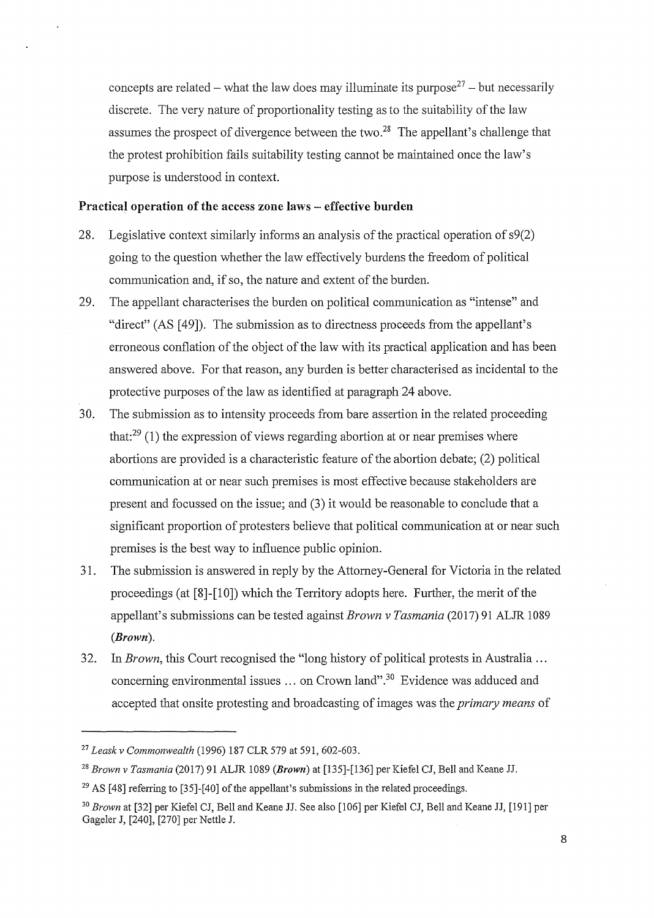concepts are related – what the law does may illuminate its purpose<sup>27</sup> – but necessarily discrete. The very nature of proportionality testing as to the suitability of the law assumes the prospect of divergence between the two.<sup>28</sup> The appellant's challenge that the protest prohibition fails suitability testing cannot be maintained once the law's purpose is understood in context.

#### **Practical operation of the access zone laws - effective burden**

- 28. Legislative context similarly informs an analysis of the practical operation of s9(2) going to the question whether the law effectively burdens the freedom of political communication and, if so, the nature and extent of the burden.
- 29. The appellant characterises the burden on political communication as "intense" and "direct" (AS [49]). The submission as to directness proceeds from the appellant's erroneous conflation of the object of the law with its practical application and has been answered above. For that reason, any burden is better characterised as incidental to the protective purposes of the law as identified at paragraph 24 above.
- 30. The submission as to intensity proceeds from bare assertion in the related proceeding that: $29(1)$  the expression of views regarding abortion at or near premises where abortions are provided is a characteristic feature of the abortion debate; (2) political communication at or near such premises is most effective because stakeholders are present and focussed on the issue; and (3) it would be reasonable to conclude that a significant proportion of protesters believe that political communication at or near such premises is the best way to influence public opinion.
- 31. The submission is answered in reply by the Attorney-General for Victoria in the related proceedings (at  $[8]-[10]$ ) which the Territory adopts here. Further, the merit of the appellant's submissions can be tested against *Brown v Tasmania* (2017) 91 ALJR 1089 *(Brown).*
- 32. In *Brown,* this Court recognised the "long history of political protests in Australia ... concerning environmental issues  $\dots$  on Crown land".<sup>30</sup> Evidence was adduced and accepted that onsite protesting and broadcasting of images was the *primary means* of

<sup>27</sup>*Leask v Commonwealth* (1996) 187 CLR 579 at 591, 602-603.

<sup>28</sup>*Brown v Tasmania* (2017) 91 ALJR 1089 *(Brown)* at [135]-[136] per Kiefel CJ, Bell and Keane JJ.

 $29$  AS [48] referring to [35]-[40] of the appellant's submissions in the related proceedings.

<sup>30</sup>*Brown* at [32] per Kiefel CJ, Bell and Keane JJ. See also [106] per Kiefel CJ, Bell and Keane JJ, [191] per Gageler J, [240], [270] per Nettle J.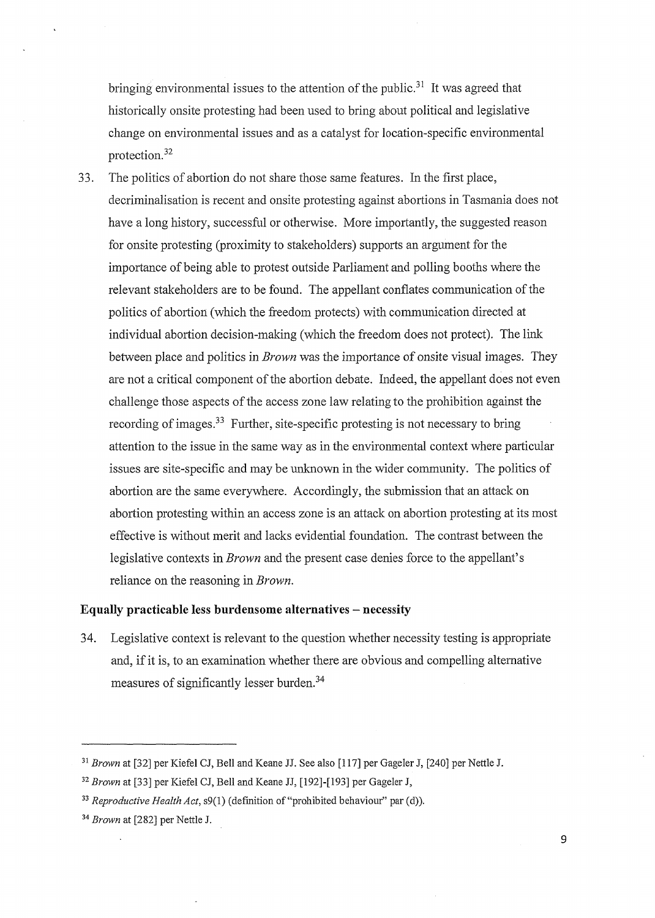bringing environmental issues to the attention of the public.<sup>31</sup> It was agreed that historically onsite protesting had been used to bring about political and legislative change on environmental issues and as a catalyst for location-specific environmental protection. 32

33. The politics of abortion do not share those same features. In the first place, decriminalisation is recent and onsite protesting against abortions in Tasmania does not have a long history, successful or otherwise. More importantly, the suggested reason for onsite protesting (proximity to stakeholders) supports an argument for the importance of being able to protest outside Parliament and polling booths where the relevant stakeholders are to be found. The appellant conflates communication of the politics of abortion (which the freedom protects) with communication directed at individual abortion decision-making (which the freedom does not protect). The link between place and politics in *Brown* was the importance of onsite visual images. They are not a critical component of the abortion debate. Indeed, the appellant does not even challenge those aspects of the access zone law relating to the prohibition against the recording of images.<sup>33</sup> Further, site-specific protesting is not necessary to bring attention to the issue in the same way as in the environmental context where particular issues are site-specific and may be unknown in the wider community. The politics of abortion are the same everywhere. Accordingly, the submission that an attack on abortion protesting within an access zone is an attack on abortion protesting at its most effective is without merit and lacks evidential foundation. The contrast between the legislative contexts in *Brown* and the present case denies force to the appellant's reliance on the reasoning in *Brown.* 

# **Equally practicable less burdensome alternatives- necessity**

34. Legislative context is relevant to the question whether necessity testing is appropriate and, if it is, to an examination whether there are obvious and compelling alternative measures of significantly lesser burden.34

9

<sup>31</sup>*Brown* at [32] per Kiefel CJ, Bell and Keane JJ. See also [117] per Gageler J, [240] per Nettle J.

<sup>32</sup>*Brown* at [33] per Kiefel CJ, Bell and Keane JJ, [192]-[193] per Gageler J,

<sup>&</sup>lt;sup>33</sup> Reproductive Health Act,  $s9(1)$  (definition of "prohibited behaviour" par (d)).

<sup>34</sup>*Brown* at [282] per Nettle J.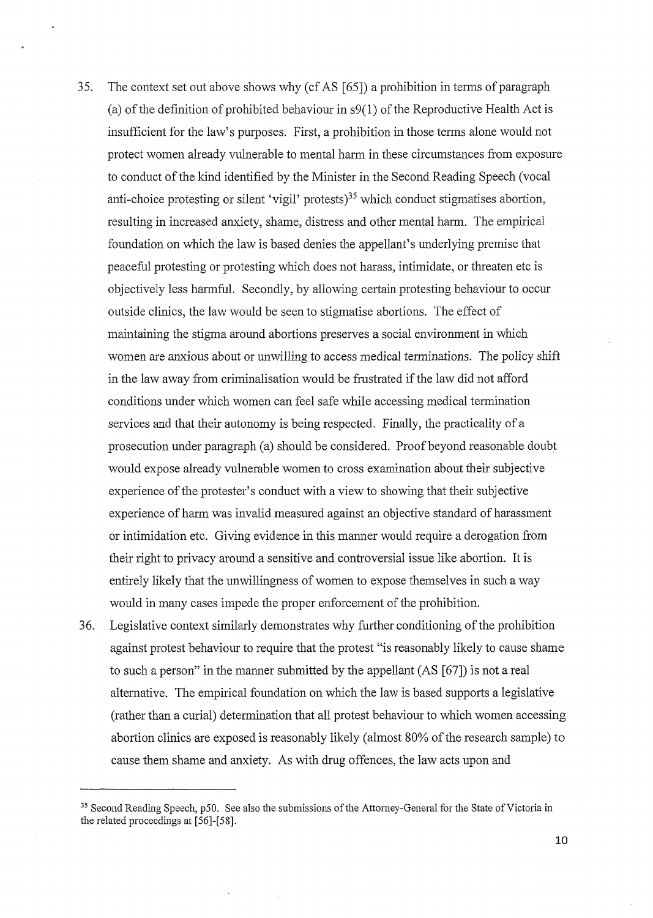- 35. The context set out above shows why (cf AS [65]) a prohibition in terms of paragraph (a) of the definition of prohibited behaviour in s9(1) of the Reproductive Health Act is insufficient for the law's purposes. First, a prohibition in those terms alone would not protect women already vulnerable to mental harm in these circumstances from exposure to conduct of the kind identified by the Minister in the Second Reading Speech (vocal anti-choice protesting or silent 'vigil' protests)<sup>35</sup> which conduct stigmatises abortion, resulting in increased anxiety, shame, distress and other mental harm. The empirical foundation on which the law is based denies the appellant's underlying premise that peaceful protesting or protesting which does not harass, intimidate, or threaten etc is objectively less harmful. Secondly, by allowing certain protesting behaviour to occur outside clinics, the law would be seen to stigmatise abortions. The effect of maintaining the stigma around abortions preserves a social environment in which women are anxious about or unwilling to access medical terminations. The policy shift in the law away from criminalisation would be frustrated if the law did not afford conditions under which women can feel safe while accessing medical termination services and that their autonomy is being respected. Finally, the practicality of a prosecution tmder paragraph (a) should be considered. Proof beyond reasonable doubt would expose already vulnerable women to cross examination about their subjective experience of the protester's conduct with a view to showing that their subjective experience of harm was invalid measured against an objective standard of harassment or intimidation etc. Giving evidence in this manner would require a derogation from their right to privacy around a sensitive and controversial issue like abortion. It is entirely likely that the unwillingness of women to expose themselves in such a way would in many cases impede the proper enforcement of the prohibition.
- 36. Legislative context similarly demonstrates why further conditioning of the prohibition against protest behaviour to require that the protest "is reasonably likely to cause shame to such a person" in the manner submitted by the appellant (AS [67]) is not a real alternative. The empirical foundation on which the law is based supports a legislative (rather than a curial) determination that all protest behaviour to which women accessing abortion clinics are exposed is reasonably likely (almost 80% of the research sample) to cause them shame and anxiety. As with drug offences, the law acts upon and

<sup>&</sup>lt;sup>35</sup> Second Reading Speech, p50. See also the submissions of the Attorney-General for the State of Victoria in the related proceedings at [56]-[58].